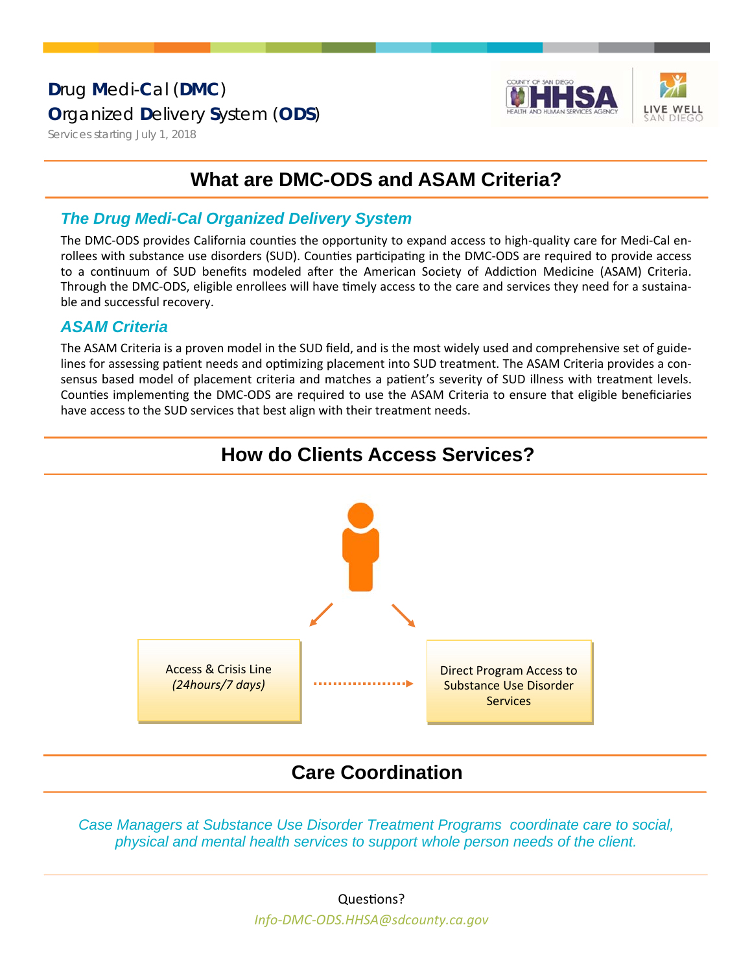### Drug Medi-Cal (DMC) **Organized Delivery System (ODS)**



Services starting July 1, 2018

## **What are DMC-ODS and ASAM Criteria?**

#### **The Drug Medi-Cal Organized Delivery System**

The DMC-ODS provides California counties the opportunity to expand access to high-quality care for Medi-Cal enrollees with substance use disorders (SUD). Counties participating in the DMC-ODS are required to provide access to a continuum of SUD benefits modeled after the American Society of Addiction Medicine (ASAM) Criteria. Through the DMC-ODS, eligible enrollees will have timely access to the care and services they need for a sustainable and successful recovery.

#### **ASAM Criteria**

The ASAM Criteria is a proven model in the SUD field, and is the most widely used and comprehensive set of guidelines for assessing patient needs and optimizing placement into SUD treatment. The ASAM Criteria provides a consensus based model of placement criteria and matches a patient's severity of SUD illness with treatment levels. Counties implementing the DMC-ODS are required to use the ASAM Criteria to ensure that eligible beneficiaries have access to the SUD services that best align with their treatment needs.





### **Care Coordination**

Case Managers at Substance Use Disorder Treatment Programs coordinate care to social, physical and mental health services to support whole person needs of the client.

Info-DMC-ODS.HHSA@sdcounty.ca.gov